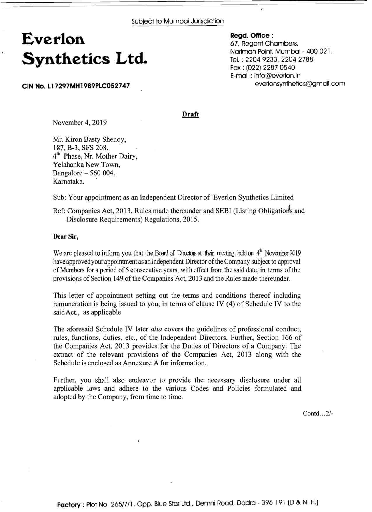# **Everlon Synthetics Ltd.**

**CIN No. L17297MH1989PLC052747** 

**Regd. Office** : 67, Regent Chambers, Nariman Point, Mumbai - 400 021. Tel. : 2204 9233, 2204 2788 Fax : (022) 2287 0540 E-mail : info@everlon.in everlonsynthetics@gmail.com

**Draft** 

November 4, 2019

Mr. Kiron Basty Shenoy, 187, B-3, SFS 208, 4<sup>th</sup> Phase, Nr. Mother Dairy, Yelahanka New Town, Bangalore - 560 004. Karnataka.

Sub: Your appointment as an Independent Director of Everlon Synthetics Limited

Ref: Companies Act, 2013, Rules made thereunder and SEBI (Listing Obligations and Disclosure Requirements) Regulations, 2015.

**Dear Sir,** 

We are pleased to inform you that the Board of Directors at their meeting held on  $4^{\text{th}}$  November 2019 have approved your appointment as an Independent Director of the Company subject to approval of Members for a period of 5 consecutive years, with effect from the said date, in terms of the provisions of Section 149 of the Companies Act, 2013 and the Rules made thereunder.

This letter of appointment setting out the terms and conditions thereof including remuneration is being issued to you, in terms of clause IV (4) of Schedule IV to the saidAct., as applicable

The aforesaid Schedule IV later *alia* covers the guidelines of professional conduct, rules, functions, duties, etc., of the Independent Directors. Further, Section 166 of the Companies Act, 2013 provides for the Duties of Directors of a Company. The extract of the relevant provisions of the Companies Act, 2013 along with the Schedule is enclosed as Annexure A for information.

Further, you shall also endeavor to provide the necessary disclosure under all applicable laws and adhere to the various Codes and Policies formulated and adopted by the Company, from time to time.

Contd.. .2/-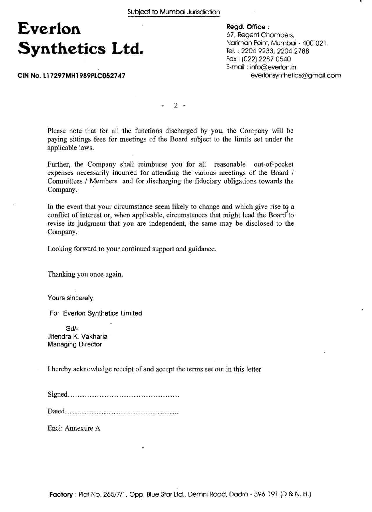# **Everlon Synthetics Ltd.**

**CIN No. 11 7297MH1989PLC052747** 

**Regd. Office** : 67. Regent Chambers, Nariman Point, Mumbai - 400 021. Tel. ; 2204 9233,2204 2788 Fax : (0221 2287 0540 E-mail : info@everlon.in everlonsynthetics@gmail.com

 $2 -$ 

Please note that for all the functions discharged by you, the Company will be paying sittings fees for meetings of the Board subject to the limits set under the applicable laws.

Further, the Company shall reimburse you for all reasonable out-of-pocket expenses necessarily incurred for attending the various meetings of the Board / Committees / Members and for discharging the fiduciary obligations towards the Company.

In the event that your circumstance seem likely to change and which give rise to a conflict of interest or, when applicable, circumstances that might lead the Board to revise its judgment that you are independent, the same may be disclosed to the Company.

Looking forward to your continued support and guidance.

Thanking you once again.

Yours sincerely,

For Everlon Synthetics Limited

Sdl-Jitendra K. Vakharia Managing Director

I hereby acknowledge receipt of and accept the terms set out in this letter

Signed. .............................................

Dated. ..............................................

Encl: Annexure A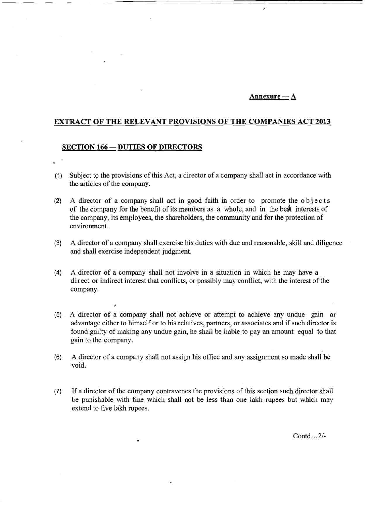# $An$ nexure —  $A$

# **EXTRACT OF THE RELEVANT PROVISIONS OF THE COMPANIES ACT 2013**

#### **SECTION 166 - DUTIES OF DIRECTORS**

J

- (1) Subject to the provisions of this Act, a director of a company shall act in accordance with the articles of the company.
- $(2)$  A director of a company shall act in good faith in order to promote the objects of the company for the benefit of its members as a whole, and in the bedt interests of the company, its employees, the shareholders, the community and for the protection of environment.
- **(3)** A director of a company shall exercise his duties with due and reasonable, skill and diligence and shall exercise independent judgment.
- **(4)** A director of a company shall not involve in a situation in which he may have a direct or indirect interest that conflicts, or possibly may conflict, with the interest of the company.
- **(5)** A director of a company shall not achieve or attempt to achieve any undue gain or advantage either to himself or to his relatives, partners, or associates and if such director is found guilty of making any undue gain, he shall be liable to pay an amount equal to that gain to the company.
- **(6)** A director of a company shall not assign his office and any assignment so made shall be void.
- **(7)** If a director of the company contravenes the provisions of this section such director shall be punishable with fine which shall not be less than one lakh rupees but which may extend to five lakh rupees.

Contd.. .2/-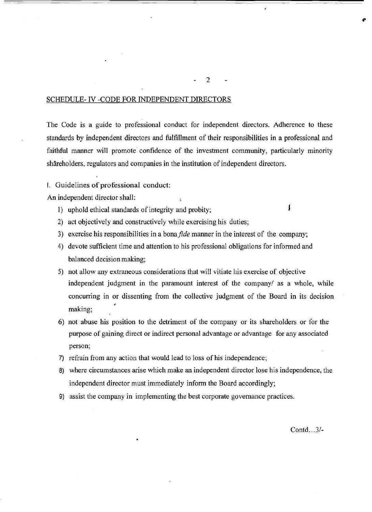#### SCHEDULE- IV -CODE FOR INDEPENDENT DIRECTORS

The Code is a guide to professional conduct for independent directors. Adherence to these standards by independent directors and fulfillment of their responsibilities in a professional and faithful manner will promote confidence of the investment community, particularly minority shäreholders, regulators and companies in the institution of independent directors.

**I.** Guidelines of professional conduct:

An independent director shall:

- 1) uphold ethical standards of integrity and probity; **<sup>I</sup>**
- 2) act objectively and constructively while exercising his duties;
- 3) exercise his responsibilities in a bona *fide* manner in the interest of the company;
- 4) devote sufficient time and attention to his professional obligations for informed and balanced decision making;
- 5) not allow any extraneous considerations that will vitiate his exercise of objective independent judgment in the paramount interest of the company/ as a whole, while concurring in or dissenting from the collective judgment of the Board in its decision *I*  making;
- 6) not abuse his position to the detriment of the company or its shareholders or for the purpose of gaining direct or indirect personal advantage or advantage for any associated person;
- 7) refrain from any action that would lead to loss of his independence;
- 8) where circumstances arise which make an independent director lose his independence, the independent director must immediately inform the Board accordingly;
- 9) assist the company in implementing the best corporate governance practices.

Contd.. .3/-

2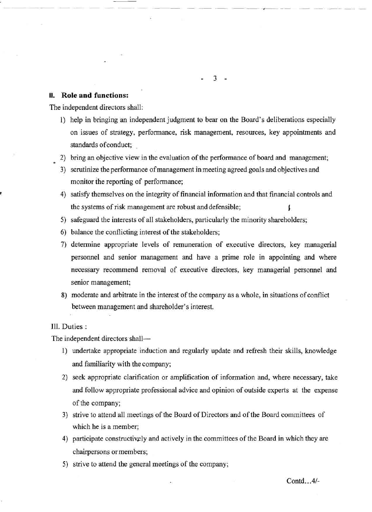### **II. Role and functions:**

The independent directors shall:

1) help in bringing an independent judgment to bear on the Board's deliberations especially on issues of strategy, performance, risk management, resources, key appointments and standards of conduct;

 $3 -$ 

- **2)** bring an objective view in the evaluation of the performance of board and management; **<sup>6</sup>**
- **3)** scrutinize the performance of management in meeting agreed goals and objectives and monitor the reporting of performance;
- **4)** satisfy themselves on the integrity of financial information and that financial controls and the systems of risk management are robust and defensible; **<sup>I</sup>**
- **5)** safeguard the interests of all stakeholders, particularly the minority shareholders;
- 6) balance the conflicting interest of the stakeholders;
- 7) determine appropriate levels of remuneration of executive directors, key managerial personnel and senior management and have a prime role in appointing and where necessary recommend removal of executive directors, key managerial personnel and senior management;
- 8) moderate and arbitrate in the interest of the company as a whole, in situations of conflict between management and shareholder's interest.

# Ill. Duties :

The independent directors shall-

- 1) undertake appropriate induction and regularly update and refresh their skills, knowledge and familiarity with the company;
- **2)** seek appropriate clarification or amplification of information and, where necessary, take and follow appropriate professional advice and opinion of outside experts at the expense of the company;
- **3)** strive to attend all meetings of the Board of Directors and of the Board committees of which he is a member;
- **4)** participate constructivgly and actively in the committees of the Board in which they are chairpersons or members;
- **5)** strive to attend the general meetings of the company;

Contd.. .4/-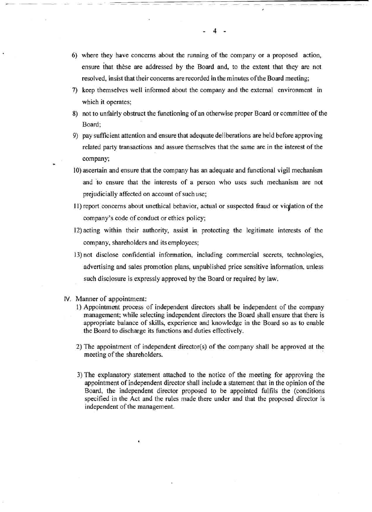- 6) where they have concerns about the running of the company or a proposed action, ensure that thèse are addressed by the Board and, to the extent that they are not resolved, insist that their concerns are recorded in the minutes ofthe Board meeting;
- 7) keep themselves well informed about the company and the external environment in which it operates;
- 8) not to unfairly obstruct the functioning of an otherwise proper Board or committee of the Board;
- 9) pay sufficient attention and ensure that adequate deliberations are held before approving related party transactions and assure themselves that the same are in the interest of the company;
- 10) ascertain and ensure that the company has an adequate and hnctional vigil mechanism and 'to ensure that the interests of a person who uses such mechanism are not prejudicially affected on account of such use;
- 11) report concerns about unethical behavior, actual or suspected fraud or violation of the company's code of conduct or ethics policy;
- 12) acting within their authority, assist in protecting the legitimate interests of the company, shareholders and its employees;
- 13) not disclose confidential information, including commercial secrets, technologies, advertising and sales promotion plans, unpublished price sensitive information, unless such disclosure is expressly approved by the Board or required by law.
- IV. Manner of appointment:
	- **1)** Appointment process of independent directors shall be independent of the company management; while selecting independent directors the Board shall ensure that there is appropriate balance of skills, experience and knowledge in the Board so as to enable the Board to discharge its functions and duties effectively.
	- 2) The appointment of independent director(s) of the company shall be approved at the meeting of the shareholders.
	- 3) The explanatory statement attached to the notice of the meeting for approving the appointment of independent director shall include a statement that in the opinion of the Board, the independent director proposed to be appointed fulfils the (conditions specified in the Act and the rules made there under and that the proposed director is independent of the management.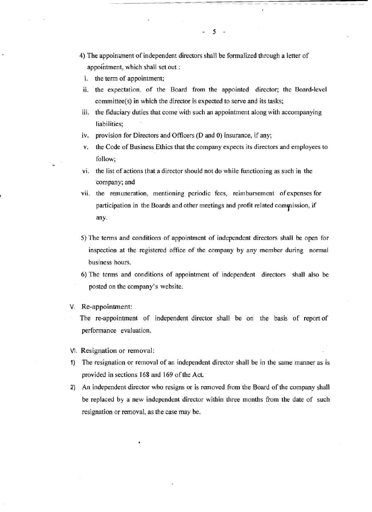- 4) The appointment of independent directors shall be formalized through a letter of appointment, which shall set out :
	- i. the term of appointment;
- ii. the expectation. of the Board from the appointed director; the Board-level committee(s) in which the director is expected to serve and its tasks;

 $5 -$ 

- iii. the fiduciary duties that come with such an appointment along with accompanying liabilities;
- iv. provision for Directors and Officers (D and 0) insurance, if any;
- v. the Code of Business Ethics that the company expects its directors and employees to follow;
- vi. the list of actions that a director should not do while functioning as such in the 'company; and
- vii. the remuneration, mentioning periodic fees, reimbursement of expenses for participation in the Boards and other meetings and profit related commission, if any.
- 5) The terms and conditions of appointment of independent directors shall be open for inspection at the registered office of the company by any member during normal business hours.
- 6) The terms and conditions of appointment of independent directors shall also be posted on the company's website.
- V. Re-appointment:

**6** 

The re-appointment of independent director shall be on the basis of report of performance evaluation.

- VI. Resignation or removal:
- 1) The resignation or removal of an independent director shall be in the same manner as is provided in sections 168 and 169 of the Act.
- 2) An independent director who resigns or is removed from the Board of the company shall be replaced by a new independent director within three months from the date of such resignation or removal, as the case may be.